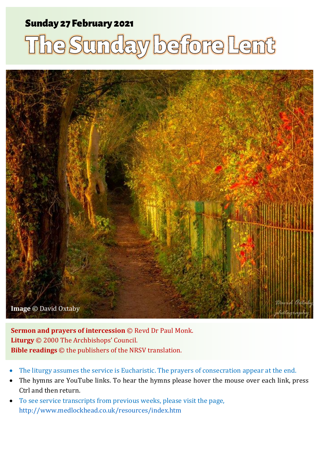# Sunday 27 February 2021

# The Sunday before Lent



**Sermon and prayers of intercession** © Revd Dr Paul Monk. **Liturgy** © 2000 The Archbishops' Council. **Bible readings** © the publishers of the NRSV translation.

- The liturgy assumes the service is Eucharistic. The prayers of consecration appear at the end.
- The hymns are YouTube links. To hear the hymns please hover the mouse over each link, press Ctrl and then return.
- To see service transcripts from previous weeks, please visit the page, <http://www.medlockhead.co.uk/resources/index.htm>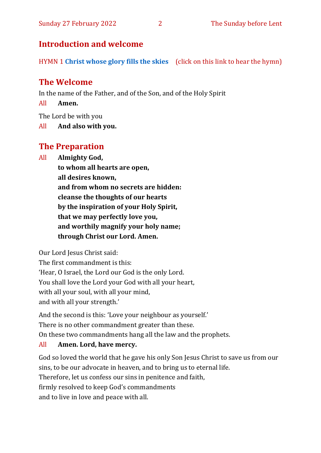### **Introduction and welcome**

HYMN 1 **[Christ whose glory fills the skies](https://www.youtube.com/watch?v=u3hCQlUKXI0)** (click on this link to hear the hymn)

# **The Welcome**

In the name of the Father, and of the Son, and of the Holy Spirit

All **Amen.**

The Lord be with you

All **And also with you.**

#### **The Preparation**

All **Almighty God,**

**to whom all hearts are open, all desires known, and from whom no secrets are hidden: cleanse the thoughts of our hearts by the inspiration of your Holy Spirit, that we may perfectly love you, and worthily magnify your holy name; through Christ our Lord. Amen.**

Our Lord Jesus Christ said:

The first commandment is this: 'Hear, O Israel, the Lord our God is the only Lord. You shall love the Lord your God with all your heart, with all your soul, with all your mind, and with all your strength.'

And the second is this: 'Love your neighbour as yourself.' There is no other commandment greater than these. On these two commandments hang all the law and the prophets.

#### All **Amen. Lord, have mercy.**

God so loved the world that he gave his only Son Jesus Christ to save us from our sins, to be our advocate in heaven, and to bring us to eternal life. Therefore, let us confess our sins in penitence and faith, firmly resolved to keep God's commandments and to live in love and peace with all.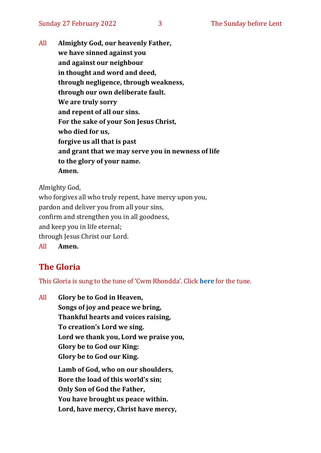All **Almighty God, our heavenly Father, we have sinned against you and against our neighbour in thought and word and deed, through negligence, through weakness, through our own deliberate fault. We are truly sorry and repent of all our sins. For the sake of your Son Jesus Christ, who died for us, forgive us all that is past and grant that we may serve you in newness of life to the glory of your name. Amen.**

Almighty God,

who forgives all who truly repent, have mercy upon you, pardon and deliver you from all your sins, confirm and strengthen you in all goodness, and keep you in life eternal; through Jesus Christ our Lord. All **Amen.**

# **The Gloria**

This Gloria is sung to the tune of 'Cwm Rhondda'. Click **[here](about:blank)** for the tune.

All **Glory be to God in Heaven, Songs of joy and peace we bring, Thankful hearts and voices raising, To creation's Lord we sing. Lord we thank you, Lord we praise you, Glory be to God our King: Glory be to God our King. Lamb of God, who on our shoulders, Bore the load of this world's sin; Only Son of God the Father, You have brought us peace within. Lord, have mercy, Christ have mercy,**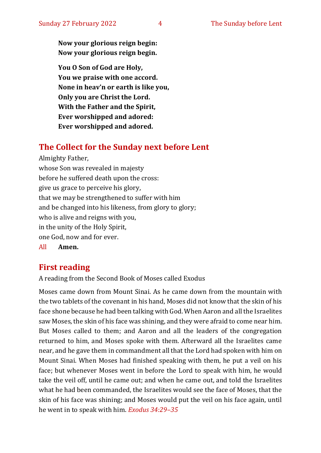**Now your glorious reign begin: Now your glorious reign begin.**

**You O Son of God are Holy, You we praise with one accord. None in heav'n or earth is like you, Only you are Christ the Lord. With the Father and the Spirit, Ever worshipped and adored: Ever worshipped and adored.**

# **The Collect for the Sunday next before Lent**

Almighty Father, whose Son was revealed in majesty before he suffered death upon the cross: give us grace to perceive his glory, that we may be strengthened to suffer with him and be changed into his likeness, from glory to glory; who is alive and reigns with you, in the unity of the Holy Spirit, one God, now and for ever.

All **Amen.**

#### **First reading**

A reading from the Second Book of Moses called Exodus

Moses came down from Mount Sinai. As he came down from the mountain with the two tablets of the covenant in his hand, Moses did not know that the skin of his face shone because he had been talking with God. When Aaron and all the Israelites saw Moses, the skin of his face was shining, and they were afraid to come near him. But Moses called to them; and Aaron and all the leaders of the congregation returned to him, and Moses spoke with them. Afterward all the Israelites came near, and he gave them in commandment all that the Lord had spoken with him on Mount Sinai. When Moses had finished speaking with them, he put a veil on his face; but whenever Moses went in before the Lord to speak with him, he would take the veil off, until he came out; and when he came out, and told the Israelites what he had been commanded, the Israelites would see the face of Moses, that the skin of his face was shining; and Moses would put the veil on his face again, until he went in to speak with him. *Exodus 34:29–35*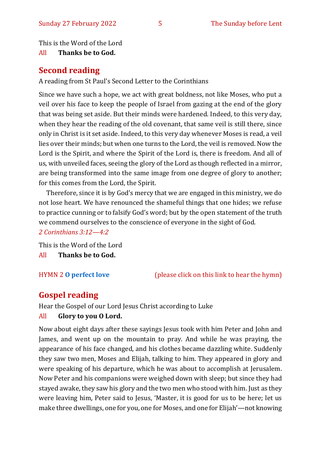This is the Word of the Lord

All **Thanks be to God.**

# **Second reading**

A reading from St Paul's Second Letter to the Corinthians

Since we have such a hope, we act with great boldness, not like Moses, who put a veil over his face to keep the people of Israel from gazing at the end of the glory that was being set aside. But their minds were hardened. Indeed, to this very day, when they hear the reading of the old covenant, that same veil is still there, since only in Christ is it set aside. Indeed, to this very day whenever Moses is read, a veil lies over their minds; but when one turns to the Lord, the veil is removed. Now the Lord is the Spirit, and where the Spirit of the Lord is, there is freedom. And all of us, with unveiled faces, seeing the glory of the Lord as though reflected in a mirror, are being transformed into the same image from one degree of glory to another; for this comes from the Lord, the Spirit.

Therefore, since it is by God's mercy that we are engaged in this ministry, we do not lose heart. We have renounced the shameful things that one hides; we refuse to practice cunning or to falsify God's word; but by the open statement of the truth we commend ourselves to the conscience of everyone in the sight of God. *2 Corinthians 3:12—4:2*

This is the Word of the Lord All **Thanks be to God.**

HYMN 2 **[O perfect love](https://www.youtube.com/watch?v=Bb_B2-PSwEk)** (please click on this link to hear the hymn)

# **Gospel reading**

Hear the Gospel of our Lord Jesus Christ according to Luke

#### All **Glory to you O Lord.**

Now about eight days after these sayings Jesus took with him Peter and John and James, and went up on the mountain to pray. And while he was praying, the appearance of his face changed, and his clothes became dazzling white. Suddenly they saw two men, Moses and Elijah, talking to him. They appeared in glory and were speaking of his departure, which he was about to accomplish at Jerusalem. Now Peter and his companions were weighed down with sleep; but since they had stayed awake, they saw his glory and the two men who stood with him. Just as they were leaving him, Peter said to Jesus, 'Master, it is good for us to be here; let us make three dwellings, one for you, one for Moses, and one for Elijah'—not knowing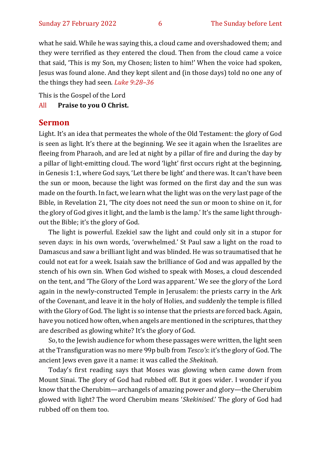what he said. While he was saying this, a cloud came and overshadowed them; and they were terrified as they entered the cloud. Then from the cloud came a voice that said, 'This is my Son, my Chosen; listen to him!' When the voice had spoken, Jesus was found alone. And they kept silent and (in those days) told no one any of the things they had seen. *Luke 9:28–36*

This is the Gospel of the Lord

#### All **Praise to you O Christ.**

#### **Sermon**

Light. It's an idea that permeates the whole of the Old Testament: the glory of God is seen as light. It's there at the beginning. We see it again when the Israelites are fleeing from Pharaoh, and are led at night by a pillar of fire and during the day by a pillar of light-emitting cloud. The word 'light' first occurs right at the beginning, in Genesis 1:1, where God says, 'Let there be light' and there was. It can't have been the sun or moon, because the light was formed on the first day and the sun was made on the fourth. In fact, we learn what the light was on the very last page of the Bible, in Revelation 21, 'The city does not need the sun or moon to shine on it, for the glory of God gives it light, and the lamb is the lamp.' It's the same light throughout the Bible; it's the glory of God.

The light is powerful. Ezekiel saw the light and could only sit in a stupor for seven days: in his own words, 'overwhelmed.' St Paul saw a light on the road to Damascus and saw a brilliant light and was blinded. He was so traumatised that he could not eat for a week. Isaiah saw the brilliance of God and was appalled by the stench of his own sin. When God wished to speak with Moses, a cloud descended on the tent, and 'The Glory of the Lord was apparent.' We see the glory of the Lord again in the newly-constructed Temple in Jerusalem: the priests carry in the Ark of the Covenant, and leave it in the holy of Holies, and suddenly the temple is filled with the Glory of God. The light is so intense that the priests are forced back. Again, have you noticed how often, when angels are mentioned in the scriptures, that they are described as glowing white? It's the glory of God.

So, to the Jewish audience for whom these passages were written, the light seen at the Transfiguration was no mere 99p bulb from *Tesco's*: it's the glory of God. The ancient Jews even gave it a name: it was called the *Shekinah*.

Today's first reading says that Moses was glowing when came down from Mount Sinai. The glory of God had rubbed off. But it goes wider. I wonder if you know that the Cherubim—archangels of amazing power and glory—the Cherubim glowed with light? The word Cherubim means '*Skekinised*.' The glory of God had rubbed off on them too.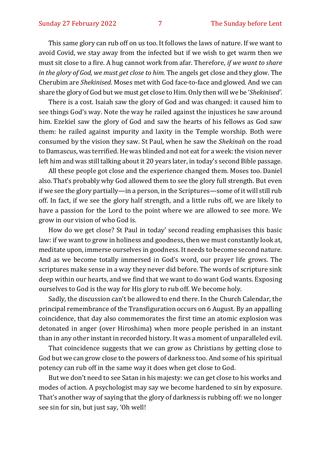This same glory can rub off on us too. It follows the laws of nature. If we want to avoid Covid, we stay away from the infected but if we wish to get warm then we must sit close to a fire. A hug cannot work from afar. Therefore, *if we want to share in the glory of God, we must get close to him.* The angels get close and they glow. The Cherubim are *Shekinised*. Moses met with God face-to-face and glowed. And we can share the glory of God but we must get close to Him. Only then will we be '*Shekinised'*.

There is a cost. Isaiah saw the glory of God and was changed: it caused him to see things God's way. Note the way he railed against the injustices he saw around him. Ezekiel saw the glory of God and saw the hearts of his fellows as God saw them: he railed against impurity and laxity in the Temple worship. Both were consumed by the vision they saw. St Paul, when he saw the *Shekinah* on the road to Damascus, was terrified. He was blinded and not eat for a week: the vision never left him and was still talking about it 20 years later, in today's second Bible passage.

All these people got close and the experience changed them. Moses too. Daniel also. That's probably why God allowed them to see the glory full strength. But even if we see the glory partially—in a person, in the Scriptures—some of it will still rub off. In fact, if we see the glory half strength, and a little rubs off, we are likely to have a passion for the Lord to the point where we are allowed to see more. We grow in our vision of who God is.

How do we get close? St Paul in today' second reading emphasises this basic law: if we want to grow in holiness and goodness, then we must constantly look at, meditate upon, immerse ourselves in goodness. It needs to become second nature. And as we become totally immersed in God's word, our prayer life grows. The scriptures make sense in a way they never did before. The words of scripture sink deep within our hearts, and we find that we want to do want God wants. Exposing ourselves to God is the way for His glory to rub off. We become holy.

Sadly, the discussion can't be allowed to end there. In the Church Calendar, the principal remembrance of the Transfiguration occurs on 6 August. By an appalling coincidence, that day also commemorates the first time an atomic explosion was detonated in anger (over Hiroshima) when more people perished in an instant than in any other instant in recorded history. It was a moment of unparalleled evil.

That coincidence suggests that we can grow as Christians by getting close to God but we can grow close to the powers of darkness too. And some of his spiritual potency can rub off in the same way it does when get close to God.

But we don't need to see Satan in his majesty: we can get close to his works and modes of action. A psychologist may say we become hardened to sin by exposure. That's another way of saying that the glory of darkness is rubbing off: we no longer see sin for sin, but just say, 'Oh well!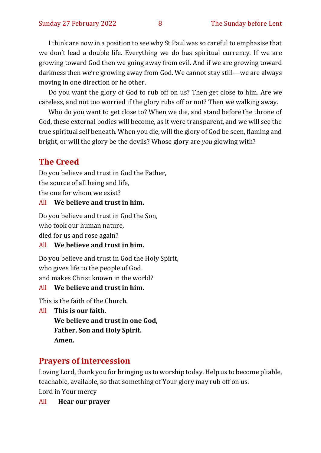I think are now in a position to see why St Paul was so careful to emphasise that we don't lead a double life. Everything we do has spiritual currency. If we are growing toward God then we going away from evil. And if we are growing toward darkness then we're growing away from God. We cannot stay still—we are always moving in one direction or he other.

Do you want the glory of God to rub off on us? Then get close to him. Are we careless, and not too worried if the glory rubs off or not? Then we walking away.

Who do you want to get close to? When we die, and stand before the throne of God, these external bodies will become, as it were transparent, and we will see the true spiritual self beneath. When you die, will the glory of God be seen, flaming and bright, or will the glory be the devils? Whose glory are *you* glowing with?

# **The Creed**

Do you believe and trust in God the Father, the source of all being and life, the one for whom we exist?

#### All **We believe and trust in him.**

Do you believe and trust in God the Son, who took our human nature, died for us and rose again?

#### All **We believe and trust in him.**

Do you believe and trust in God the Holy Spirit, who gives life to the people of God and makes Christ known in the world?

#### All **We believe and trust in him.**

This is the faith of the Church.

All **This is our faith.**

**We believe and trust in one God, Father, Son and Holy Spirit. Amen.**

#### **Prayers of intercession**

Loving Lord, thank you for bringing us to worship today. Help us to become pliable, teachable, available, so that something of Your glory may rub off on us.

Lord in Your mercy

All **Hear our prayer**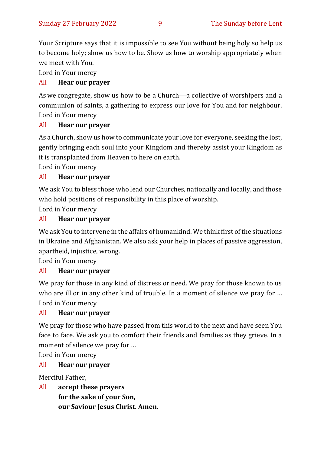Your Scripture says that it is impossible to see You without being holy so help us to become holy; show us how to be. Show us how to worship appropriately when we meet with You.

Lord in Your mercy

#### All **Hear our prayer**

As we congregate, show us how to be a Church—a collective of worshipers and a communion of saints, a gathering to express our love for You and for neighbour. Lord in Your mercy

#### All **Hear our prayer**

As a Church, show us how to communicate your love for everyone, seeking the lost, gently bringing each soul into your Kingdom and thereby assist your Kingdom as it is transplanted from Heaven to here on earth.

Lord in Your mercy

#### All **Hear our prayer**

We ask You to bless those who lead our Churches, nationally and locally, and those who hold positions of responsibility in this place of worship.

Lord in Your mercy

#### All **Hear our prayer**

We ask You to intervene in the affairs of humankind. We think first of the situations in Ukraine and Afghanistan. We also ask your help in places of passive aggression, apartheid, injustice, wrong.

Lord in Your mercy

#### All **Hear our prayer**

We pray for those in any kind of distress or need. We pray for those known to us who are ill or in any other kind of trouble. In a moment of silence we pray for ... Lord in Your mercy

#### All **Hear our prayer**

We pray for those who have passed from this world to the next and have seen You face to face. We ask you to comfort their friends and families as they grieve. In a moment of silence we pray for …

Lord in Your mercy

#### All **Hear our prayer**

Merciful Father,

All **accept these prayers for the sake of your Son, our Saviour Jesus Christ. Amen.**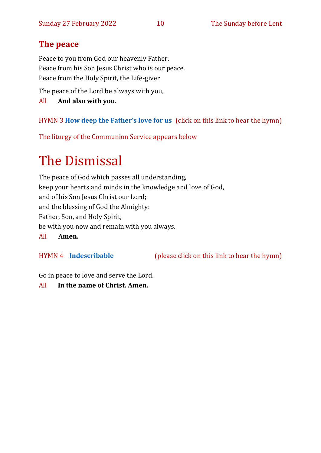#### **The peace**

Peace to you from God our heavenly Father. Peace from his Son Jesus Christ who is our peace. Peace from the Holy Spirit, the Life-giver

The peace of the Lord be always with you,

All **And also with you.**

#### HYMN 3 **How deep th[e Father's love for us](https://www.youtube.com/watch?v=jD9-omLKwWI)** (click on this link to hear the hymn)

The liturgy of the Communion Service appears below

# The Dismissal

The peace of God which passes all understanding, keep your hearts and minds in the knowledge and love of God, and of his Son Jesus Christ our Lord; and the blessing of God the Almighty: Father, Son, and Holy Spirit, be with you now and remain with you always. All **Amen.**

HYMN 4 **[Indescribable](https://www.youtube.com/watch?v=KsTEK2iBaPs)** (please click on this link to hear the hymn)

Go in peace to love and serve the Lord.

All **In the name of Christ. Amen.**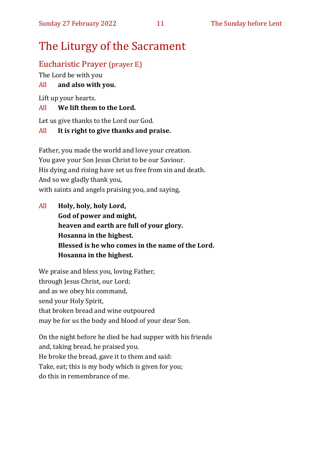# The Liturgy of the Sacrament

### Eucharistic Prayer (prayer E)

The Lord be with you

#### All **and also with you.**

Lift up your hearts.

#### All **We lift them to the Lord.**

Let us give thanks to the Lord our God.

#### All **It is right to give thanks and praise.**

Father, you made the world and love your creation. You gave your Son Jesus Christ to be our Saviour. His dying and rising have set us free from sin and death. And so we gladly thank you, with saints and angels praising you, and saying,

All **Holy, holy, holy Lord, God of power and might, heaven and earth are full of your glory. Hosanna in the highest. Blessed is he who comes in the name of the Lord. Hosanna in the highest.**

We praise and bless you, loving Father, through Jesus Christ, our Lord; and as we obey his command, send your Holy Spirit, that broken bread and wine outpoured may be for us the body and blood of your dear Son.

On the night before he died he had supper with his friends and, taking bread, he praised you. He broke the bread, gave it to them and said: Take, eat; this is my body which is given for you; do this in remembrance of me.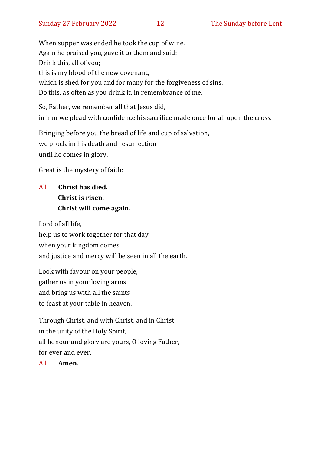When supper was ended he took the cup of wine. Again he praised you, gave it to them and said: Drink this, all of you; this is my blood of the new covenant, which is shed for you and for many for the forgiveness of sins. Do this, as often as you drink it, in remembrance of me.

So, Father, we remember all that Jesus did, in him we plead with confidence his sacrifice made once for all upon the cross.

Bringing before you the bread of life and cup of salvation, we proclaim his death and resurrection until he comes in glory.

Great is the mystery of faith:

# All **Christ has died. Christ is risen. Christ will come again.**

Lord of all life, help us to work together for that day when your kingdom comes and justice and mercy will be seen in all the earth.

Look with favour on your people, gather us in your loving arms and bring us with all the saints to feast at your table in heaven.

Through Christ, and with Christ, and in Christ, in the unity of the Holy Spirit, all honour and glory are yours, O loving Father, for ever and ever.

All **Amen.**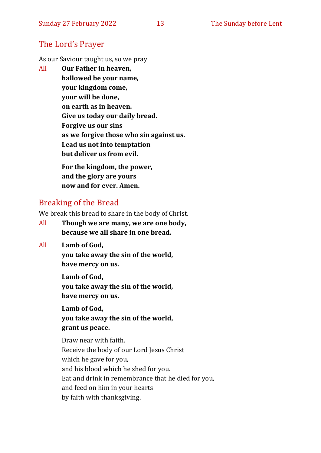# The Lord's Prayer

As our Saviour taught us, so we pray

All **Our Father in heaven, hallowed be your name, your kingdom come, your will be done, on earth as in heaven. Give us today our daily bread. Forgive us our sins as we forgive those who sin against us. Lead us not into temptation but deliver us from evil. For the kingdom, the power,** 

**and the glory are yours now and for ever. Amen.**

# Breaking of the Bread

We break this bread to share in the body of Christ.

- All **Though we are many, we are one body, because we all share in one bread.**
- All **Lamb of God,**

**you take away the sin of the world, have mercy on us.**

**Lamb of God, you take away the sin of the world, have mercy on us.**

**Lamb of God, you take away the sin of the world, grant us peace.**

Draw near with faith. Receive the body of our Lord Jesus Christ which he gave for you, and his blood which he shed for you. Eat and drink in remembrance that he died for you, and feed on him in your hearts by faith with thanksgiving.